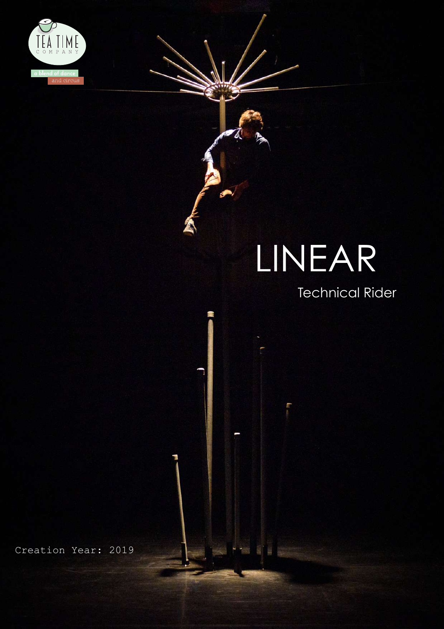

# LINEAR

### Technical Rider

Creation Year: 2019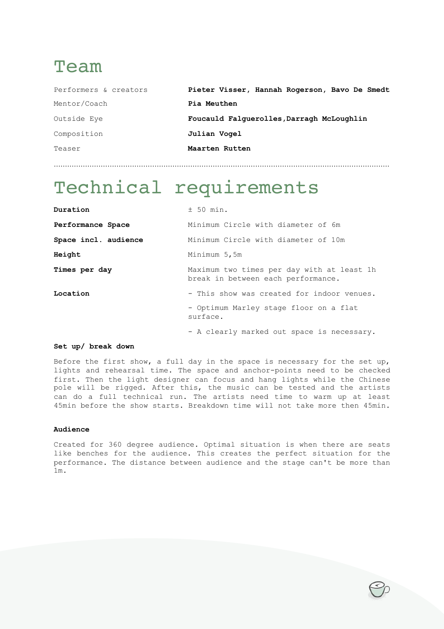### Team

| Performers & creators | Pieter Visser, Hannah Rogerson, Bavo De Smedt |
|-----------------------|-----------------------------------------------|
| Mentor/Coach          | Pia Meuthen                                   |
| Outside Eye           | Foucauld Falquerolles, Darragh McLoughlin     |
| Composition           | Julian Vogel                                  |
| Teaser                | Maarten Rutten                                |
|                       |                                               |

# Technical requirements

| Duration             | ± 50 min.                                                                        |
|----------------------|----------------------------------------------------------------------------------|
| Performance Space    | Minimum Circle with diameter of 6m                                               |
| Space incl. audience | Minimum Circle with diameter of 10m                                              |
| Height               | Minimum 5,5m                                                                     |
| Times per day        | Maximum two times per day with at least 1h<br>break in between each performance. |
| Location             | - This show was created for indoor venues.                                       |
|                      | - Optimum Marley stage floor on a flat<br>surface.                               |
|                      | - A clearly marked out space is necessary.                                       |

#### **Set up/ break down**

Before the first show, a full day in the space is necessary for the set up, lights and rehearsal time. The space and anchor-points need to be checked first. Then the light designer can focus and hang lights while the Chinese pole will be rigged. After this, the music can be tested and the artists can do a full technical run. The artists need time to warm up at least 45min before the show starts. Breakdown time will not take more then 45min.

#### **Audience**

Created for 360 degree audience. Optimal situation is when there are seats like benches for the audience. This creates the perfect situation for the performance. The distance between audience and the stage can't be more than 1m.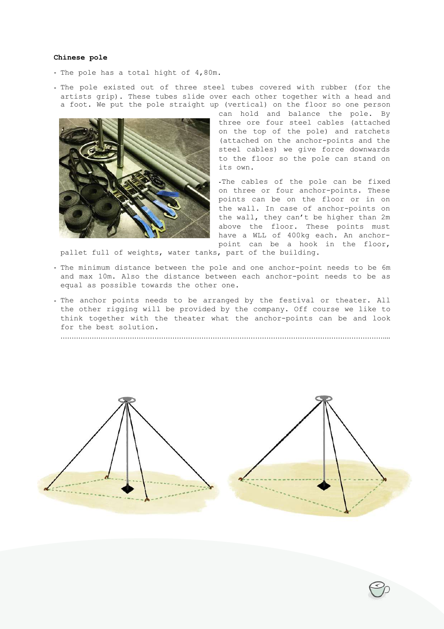#### **Chinese pole**

- The pole has a total hight of 4,80m.
- The pole existed out of three steel tubes covered with rubber (for the artists grip). These tubes slide over each other together with a head and a foot. We put the pole straight up (vertical) on the floor so one person



can hold and balance the pole. By three ore four steel cables (attached on the top of the pole) and ratchets (attached on the anchor-points and the steel cables) we give force downwards to the floor so the pole can stand on its own.

-The cables of the pole can be fixed on three or four anchor-points. These points can be on the floor or in on the wall. In case of anchor-points on the wall, they can't be higher than 2m above the floor. These points must have a WLL of 400kg each. An anchorpoint can be a hook in the floor,

pallet full of weights, water tanks, part of the building.

- The minimum distance between the pole and one anchor-point needs to be 6m and max 10m. Also the distance between each anchor-point needs to be as equal as possible towards the other one.
- The anchor points needs to be arranged by the festival or theater. All the other rigging will be provided by the company. Off course we like to think together with the theater what the anchor-points can be and look for the best solution.

………………………………………………………………………………………………………………………………....

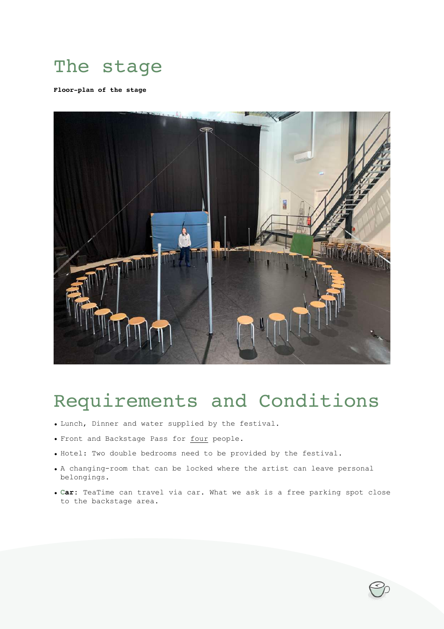# The stage

**Floor-plan of the stage**



### Requirements and Conditions

- Lunch, Dinner and water supplied by the festival.
- Front and Backstage Pass for four people.
- Hotel: Two double bedrooms need to be provided by the festival.
- A changing-room that can be locked where the artist can leave personal belongings.
- **Car:** TeaTime can travel via car. What we ask is a free parking spot close to the backstage area.